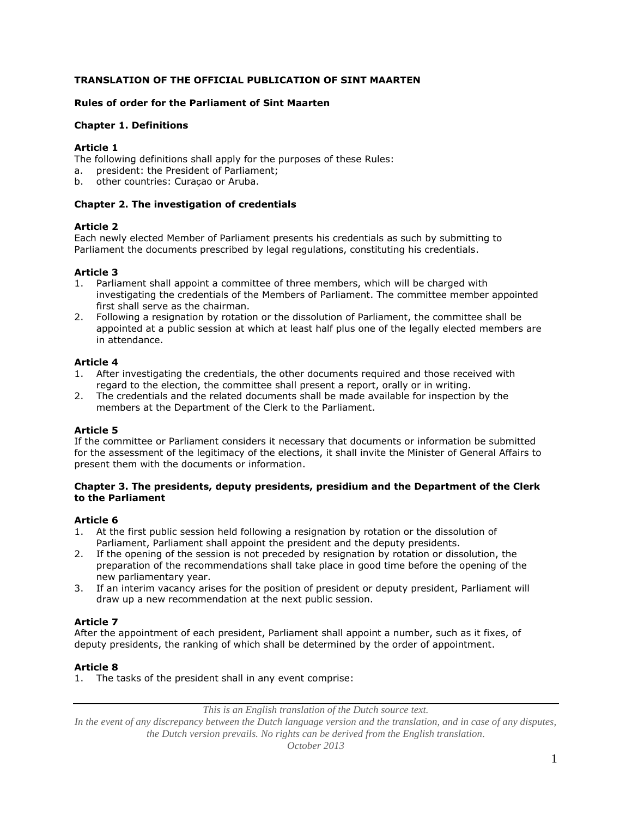## **TRANSLATION OF THE OFFICIAL PUBLICATION OF SINT MAARTEN**

### **Rules of order for the Parliament of Sint Maarten**

### **Chapter 1. Definitions**

### **Article 1**

The following definitions shall apply for the purposes of these Rules:

- a. president: the President of Parliament;
- b. other countries: Curaçao or Aruba.

### **Chapter 2. The investigation of credentials**

### **Article 2**

Each newly elected Member of Parliament presents his credentials as such by submitting to Parliament the documents prescribed by legal regulations, constituting his credentials.

### **Article 3**

- 1. Parliament shall appoint a committee of three members, which will be charged with investigating the credentials of the Members of Parliament. The committee member appointed first shall serve as the chairman.
- 2. Following a resignation by rotation or the dissolution of Parliament, the committee shall be appointed at a public session at which at least half plus one of the legally elected members are in attendance.

### **Article 4**

- 1. After investigating the credentials, the other documents required and those received with regard to the election, the committee shall present a report, orally or in writing.
- 2. The credentials and the related documents shall be made available for inspection by the members at the Department of the Clerk to the Parliament.

### **Article 5**

If the committee or Parliament considers it necessary that documents or information be submitted for the assessment of the legitimacy of the elections, it shall invite the Minister of General Affairs to present them with the documents or information.

### **Chapter 3. The presidents, deputy presidents, presidium and the Department of the Clerk to the Parliament**

### **Article 6**

- 1. At the first public session held following a resignation by rotation or the dissolution of Parliament, Parliament shall appoint the president and the deputy presidents.
- 2. If the opening of the session is not preceded by resignation by rotation or dissolution, the preparation of the recommendations shall take place in good time before the opening of the new parliamentary year.
- 3. If an interim vacancy arises for the position of president or deputy president, Parliament will draw up a new recommendation at the next public session.

## **Article 7**

After the appointment of each president, Parliament shall appoint a number, such as it fixes, of deputy presidents, the ranking of which shall be determined by the order of appointment.

### **Article 8**

1. The tasks of the president shall in any event comprise:

*This is an English translation of the Dutch source text.*

*In the event of any discrepancy between the Dutch language version and the translation, and in case of any disputes, the Dutch version prevails. No rights can be derived from the English translation.*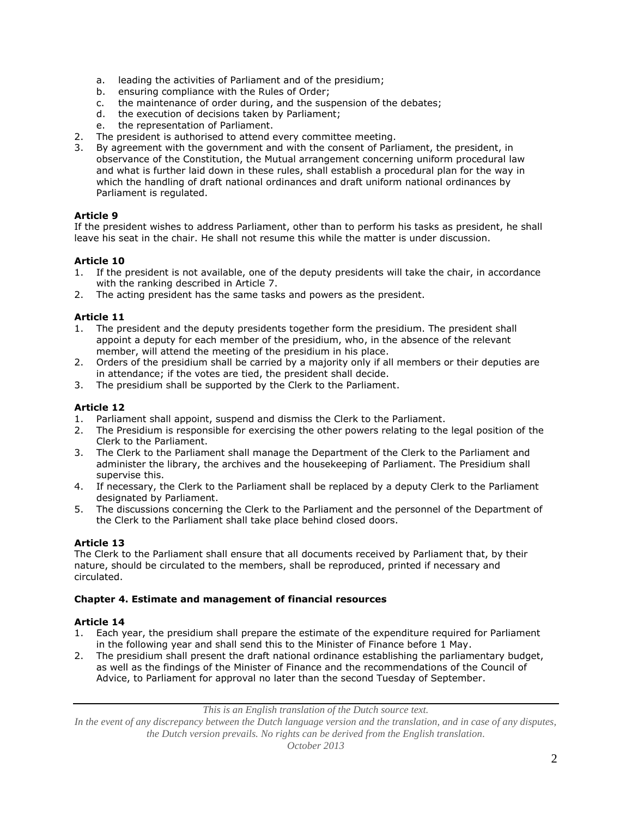- a. leading the activities of Parliament and of the presidium;
- b. ensuring compliance with the Rules of Order;<br>c. the maintenance of order during, and the sus
- the maintenance of order during, and the suspension of the debates;
- d. the execution of decisions taken by Parliament;
- e. the representation of Parliament.
- 2. The president is authorised to attend every committee meeting.
- 3. By agreement with the government and with the consent of Parliament, the president, in observance of the Constitution, the Mutual arrangement concerning uniform procedural law and what is further laid down in these rules, shall establish a procedural plan for the way in which the handling of draft national ordinances and draft uniform national ordinances by Parliament is regulated.

If the president wishes to address Parliament, other than to perform his tasks as president, he shall leave his seat in the chair. He shall not resume this while the matter is under discussion.

### **Article 10**

- 1. If the president is not available, one of the deputy presidents will take the chair, in accordance with the ranking described in Article 7.
- 2. The acting president has the same tasks and powers as the president.

### **Article 11**

- 1. The president and the deputy presidents together form the presidium. The president shall appoint a deputy for each member of the presidium, who, in the absence of the relevant member, will attend the meeting of the presidium in his place.
- 2. Orders of the presidium shall be carried by a majority only if all members or their deputies are in attendance; if the votes are tied, the president shall decide.
- 3. The presidium shall be supported by the Clerk to the Parliament.

## **Article 12**

- 1. Parliament shall appoint, suspend and dismiss the Clerk to the Parliament.<br>2. The Presidium is responsible for exercising the other nowers relating to the
- 2. The Presidium is responsible for exercising the other powers relating to the legal position of the Clerk to the Parliament.
- 3. The Clerk to the Parliament shall manage the Department of the Clerk to the Parliament and administer the library, the archives and the housekeeping of Parliament. The Presidium shall supervise this.
- 4. If necessary, the Clerk to the Parliament shall be replaced by a deputy Clerk to the Parliament designated by Parliament.
- 5. The discussions concerning the Clerk to the Parliament and the personnel of the Department of the Clerk to the Parliament shall take place behind closed doors.

## **Article 13**

The Clerk to the Parliament shall ensure that all documents received by Parliament that, by their nature, should be circulated to the members, shall be reproduced, printed if necessary and circulated.

### **Chapter 4. Estimate and management of financial resources**

### **Article 14**

- 1. Each year, the presidium shall prepare the estimate of the expenditure required for Parliament in the following year and shall send this to the Minister of Finance before 1 May.
- 2. The presidium shall present the draft national ordinance establishing the parliamentary budget, as well as the findings of the Minister of Finance and the recommendations of the Council of Advice, to Parliament for approval no later than the second Tuesday of September.

*This is an English translation of the Dutch source text.*

*In the event of any discrepancy between the Dutch language version and the translation, and in case of any disputes, the Dutch version prevails. No rights can be derived from the English translation.*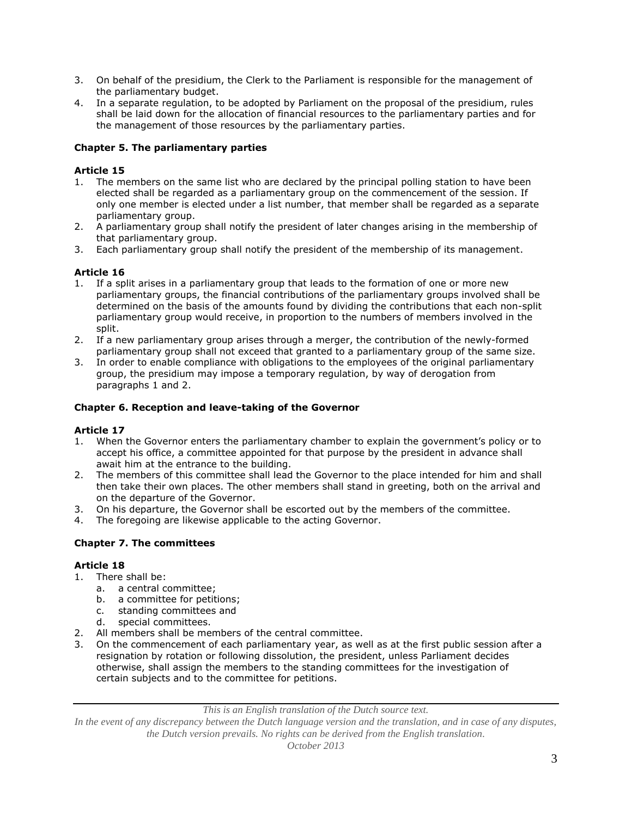- 3. On behalf of the presidium, the Clerk to the Parliament is responsible for the management of the parliamentary budget.
- 4. In a separate regulation, to be adopted by Parliament on the proposal of the presidium, rules shall be laid down for the allocation of financial resources to the parliamentary parties and for the management of those resources by the parliamentary parties.

## **Chapter 5. The parliamentary parties**

# **Article 15**

- 1. The members on the same list who are declared by the principal polling station to have been elected shall be regarded as a parliamentary group on the commencement of the session. If only one member is elected under a list number, that member shall be regarded as a separate parliamentary group.
- 2. A parliamentary group shall notify the president of later changes arising in the membership of that parliamentary group.
- 3. Each parliamentary group shall notify the president of the membership of its management.

## **Article 16**

- 1. If a split arises in a parliamentary group that leads to the formation of one or more new parliamentary groups, the financial contributions of the parliamentary groups involved shall be determined on the basis of the amounts found by dividing the contributions that each non-split parliamentary group would receive, in proportion to the numbers of members involved in the split.
- 2. If a new parliamentary group arises through a merger, the contribution of the newly-formed parliamentary group shall not exceed that granted to a parliamentary group of the same size.
- 3. In order to enable compliance with obligations to the employees of the original parliamentary group, the presidium may impose a temporary regulation, by way of derogation from paragraphs 1 and 2.

## **Chapter 6. Reception and leave-taking of the Governor**

## **Article 17**

- 1. When the Governor enters the parliamentary chamber to explain the government's policy or to accept his office, a committee appointed for that purpose by the president in advance shall await him at the entrance to the building.
- 2. The members of this committee shall lead the Governor to the place intended for him and shall then take their own places. The other members shall stand in greeting, both on the arrival and on the departure of the Governor.
- 3. On his departure, the Governor shall be escorted out by the members of the committee.
- 4. The foregoing are likewise applicable to the acting Governor.

## **Chapter 7. The committees**

## **Article 18**

- 1. There shall be:
	- a. a central committee;
	- b. a committee for petitions;
	- c. standing committees and
	- d. special committees.
- 2. All members shall be members of the central committee.
- 3. On the commencement of each parliamentary year, as well as at the first public session after a resignation by rotation or following dissolution, the president, unless Parliament decides otherwise, shall assign the members to the standing committees for the investigation of certain subjects and to the committee for petitions.

*This is an English translation of the Dutch source text.*

*In the event of any discrepancy between the Dutch language version and the translation, and in case of any disputes, the Dutch version prevails. No rights can be derived from the English translation.*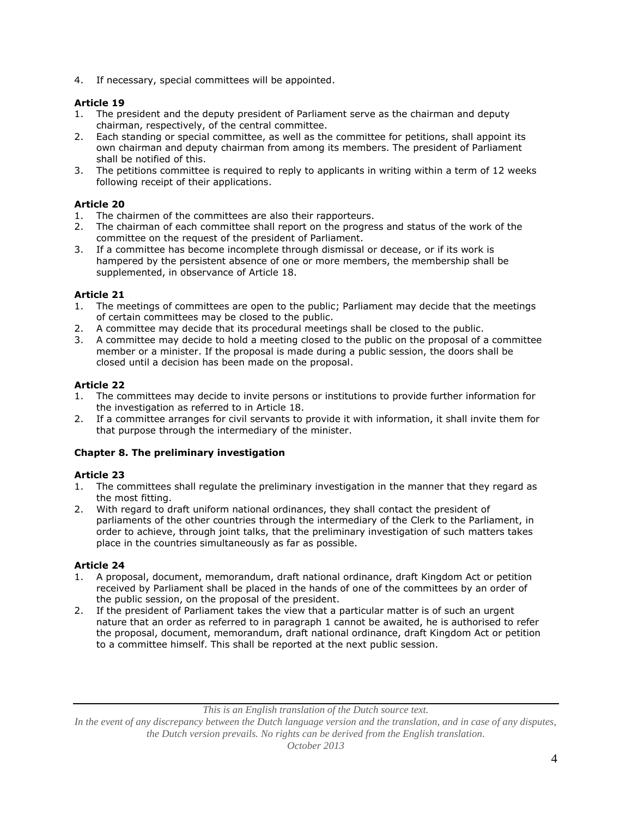4. If necessary, special committees will be appointed.

## **Article 19**

- 1. The president and the deputy president of Parliament serve as the chairman and deputy chairman, respectively, of the central committee.
- 2. Each standing or special committee, as well as the committee for petitions, shall appoint its own chairman and deputy chairman from among its members. The president of Parliament shall be notified of this.
- 3. The petitions committee is required to reply to applicants in writing within a term of 12 weeks following receipt of their applications.

## **Article 20**

- 1. The chairmen of the committees are also their rapporteurs.
- 2. The chairman of each committee shall report on the progress and status of the work of the committee on the request of the president of Parliament.
- 3. If a committee has become incomplete through dismissal or decease, or if its work is hampered by the persistent absence of one or more members, the membership shall be supplemented, in observance of Article 18.

## **Article 21**

- 1. The meetings of committees are open to the public; Parliament may decide that the meetings of certain committees may be closed to the public.
- 2. A committee may decide that its procedural meetings shall be closed to the public.
- 3. A committee may decide to hold a meeting closed to the public on the proposal of a committee member or a minister. If the proposal is made during a public session, the doors shall be closed until a decision has been made on the proposal.

# **Article 22**

- 1. The committees may decide to invite persons or institutions to provide further information for the investigation as referred to in Article 18.
- 2. If a committee arranges for civil servants to provide it with information, it shall invite them for that purpose through the intermediary of the minister.

## **Chapter 8. The preliminary investigation**

## **Article 23**

- 1. The committees shall regulate the preliminary investigation in the manner that they regard as the most fitting.
- 2. With regard to draft uniform national ordinances, they shall contact the president of parliaments of the other countries through the intermediary of the Clerk to the Parliament, in order to achieve, through joint talks, that the preliminary investigation of such matters takes place in the countries simultaneously as far as possible.

## **Article 24**

- 1. A proposal, document, memorandum, draft national ordinance, draft Kingdom Act or petition received by Parliament shall be placed in the hands of one of the committees by an order of the public session, on the proposal of the president.
- 2. If the president of Parliament takes the view that a particular matter is of such an urgent nature that an order as referred to in paragraph 1 cannot be awaited, he is authorised to refer the proposal, document, memorandum, draft national ordinance, draft Kingdom Act or petition to a committee himself. This shall be reported at the next public session.

*This is an English translation of the Dutch source text.*

*In the event of any discrepancy between the Dutch language version and the translation, and in case of any disputes, the Dutch version prevails. No rights can be derived from the English translation.*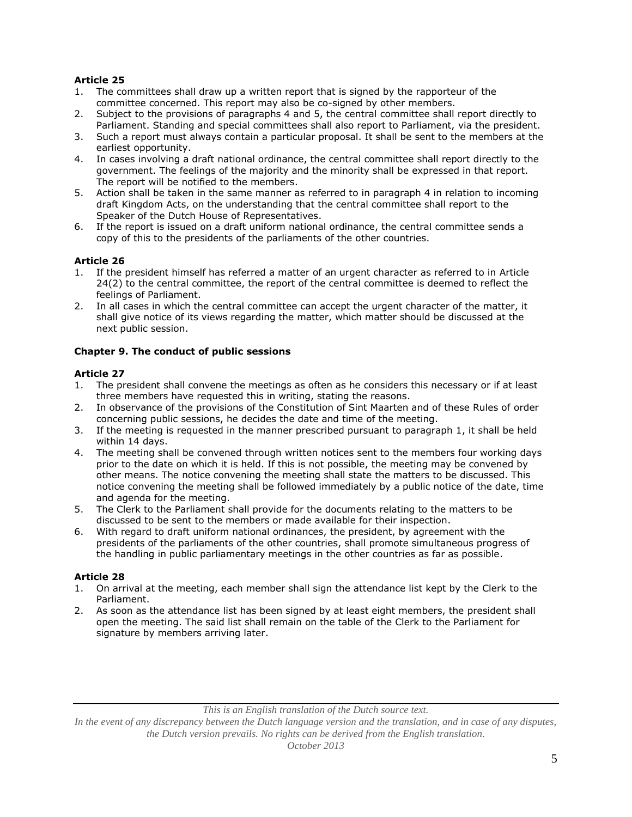- 1. The committees shall draw up a written report that is signed by the rapporteur of the committee concerned. This report may also be co-signed by other members.
- 2. Subject to the provisions of paragraphs 4 and 5, the central committee shall report directly to Parliament. Standing and special committees shall also report to Parliament, via the president.
- 3. Such a report must always contain a particular proposal. It shall be sent to the members at the earliest opportunity.
- 4. In cases involving a draft national ordinance, the central committee shall report directly to the government. The feelings of the majority and the minority shall be expressed in that report. The report will be notified to the members.
- 5. Action shall be taken in the same manner as referred to in paragraph 4 in relation to incoming draft Kingdom Acts, on the understanding that the central committee shall report to the Speaker of the Dutch House of Representatives.
- 6. If the report is issued on a draft uniform national ordinance, the central committee sends a copy of this to the presidents of the parliaments of the other countries.

## **Article 26**

- 1. If the president himself has referred a matter of an urgent character as referred to in Article 24(2) to the central committee, the report of the central committee is deemed to reflect the feelings of Parliament.
- 2. In all cases in which the central committee can accept the urgent character of the matter, it shall give notice of its views regarding the matter, which matter should be discussed at the next public session.

## **Chapter 9. The conduct of public sessions**

### **Article 27**

- 1. The president shall convene the meetings as often as he considers this necessary or if at least three members have requested this in writing, stating the reasons.
- 2. In observance of the provisions of the Constitution of Sint Maarten and of these Rules of order concerning public sessions, he decides the date and time of the meeting.
- 3. If the meeting is requested in the manner prescribed pursuant to paragraph 1, it shall be held within 14 days.
- 4. The meeting shall be convened through written notices sent to the members four working days prior to the date on which it is held. If this is not possible, the meeting may be convened by other means. The notice convening the meeting shall state the matters to be discussed. This notice convening the meeting shall be followed immediately by a public notice of the date, time and agenda for the meeting.
- 5. The Clerk to the Parliament shall provide for the documents relating to the matters to be discussed to be sent to the members or made available for their inspection.
- 6. With regard to draft uniform national ordinances, the president, by agreement with the presidents of the parliaments of the other countries, shall promote simultaneous progress of the handling in public parliamentary meetings in the other countries as far as possible.

## **Article 28**

- 1. On arrival at the meeting, each member shall sign the attendance list kept by the Clerk to the Parliament.
- 2. As soon as the attendance list has been signed by at least eight members, the president shall open the meeting. The said list shall remain on the table of the Clerk to the Parliament for signature by members arriving later.

#### *This is an English translation of the Dutch source text.*

*In the event of any discrepancy between the Dutch language version and the translation, and in case of any disputes, the Dutch version prevails. No rights can be derived from the English translation.*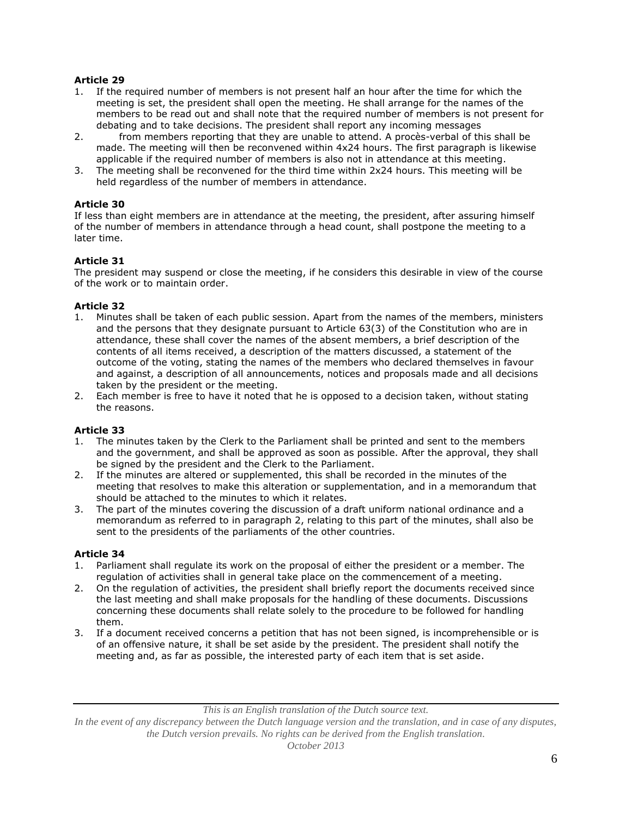- 1. If the required number of members is not present half an hour after the time for which the meeting is set, the president shall open the meeting. He shall arrange for the names of the members to be read out and shall note that the required number of members is not present for debating and to take decisions. The president shall report any incoming messages
- 2. from members reporting that they are unable to attend. A procès-verbal of this shall be made. The meeting will then be reconvened within 4x24 hours. The first paragraph is likewise applicable if the required number of members is also not in attendance at this meeting.
- 3. The meeting shall be reconvened for the third time within 2x24 hours. This meeting will be held regardless of the number of members in attendance.

### **Article 30**

If less than eight members are in attendance at the meeting, the president, after assuring himself of the number of members in attendance through a head count, shall postpone the meeting to a later time.

## **Article 31**

The president may suspend or close the meeting, if he considers this desirable in view of the course of the work or to maintain order.

### **Article 32**

- 1. Minutes shall be taken of each public session. Apart from the names of the members, ministers and the persons that they designate pursuant to Article 63(3) of the Constitution who are in attendance, these shall cover the names of the absent members, a brief description of the contents of all items received, a description of the matters discussed, a statement of the outcome of the voting, stating the names of the members who declared themselves in favour and against, a description of all announcements, notices and proposals made and all decisions taken by the president or the meeting.
- 2. Each member is free to have it noted that he is opposed to a decision taken, without stating the reasons.

### **Article 33**

- 1. The minutes taken by the Clerk to the Parliament shall be printed and sent to the members and the government, and shall be approved as soon as possible. After the approval, they shall be signed by the president and the Clerk to the Parliament.
- 2. If the minutes are altered or supplemented, this shall be recorded in the minutes of the meeting that resolves to make this alteration or supplementation, and in a memorandum that should be attached to the minutes to which it relates.
- 3. The part of the minutes covering the discussion of a draft uniform national ordinance and a memorandum as referred to in paragraph 2, relating to this part of the minutes, shall also be sent to the presidents of the parliaments of the other countries.

### **Article 34**

- 1. Parliament shall regulate its work on the proposal of either the president or a member. The regulation of activities shall in general take place on the commencement of a meeting.
- 2. On the regulation of activities, the president shall briefly report the documents received since the last meeting and shall make proposals for the handling of these documents. Discussions concerning these documents shall relate solely to the procedure to be followed for handling them.
- 3. If a document received concerns a petition that has not been signed, is incomprehensible or is of an offensive nature, it shall be set aside by the president. The president shall notify the meeting and, as far as possible, the interested party of each item that is set aside.

*This is an English translation of the Dutch source text.*

*In the event of any discrepancy between the Dutch language version and the translation, and in case of any disputes, the Dutch version prevails. No rights can be derived from the English translation.*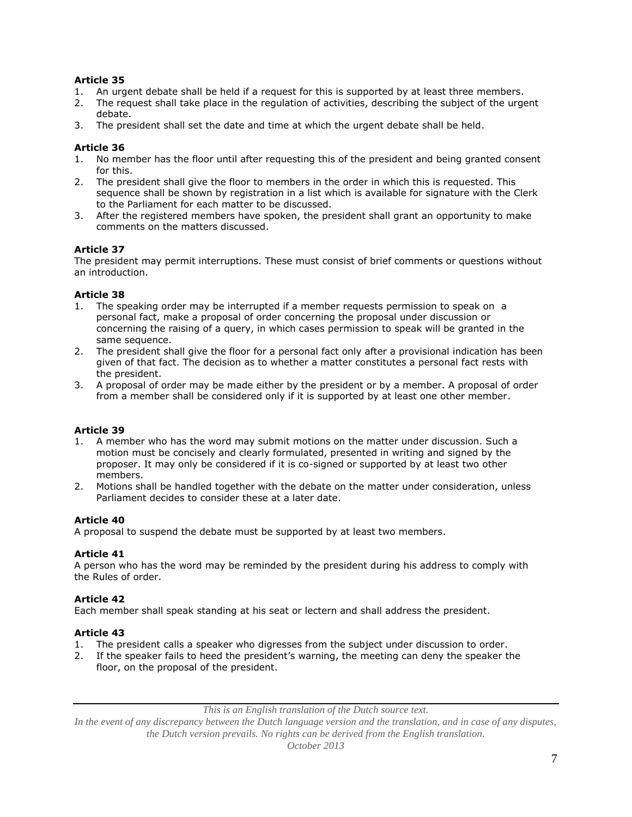- 1. An urgent debate shall be held if a request for this is supported by at least three members.
- 2. The request shall take place in the regulation of activities, describing the subject of the urgent debate.
- 3. The president shall set the date and time at which the urgent debate shall be held.

## **Article 36**

- 1. No member has the floor until after requesting this of the president and being granted consent for this.
- 2. The president shall give the floor to members in the order in which this is requested. This sequence shall be shown by registration in a list which is available for signature with the Clerk to the Parliament for each matter to be discussed.
- 3. After the registered members have spoken, the president shall grant an opportunity to make comments on the matters discussed.

# **Article 37**

The president may permit interruptions. These must consist of brief comments or questions without an introduction.

## **Article 38**

- 1. The speaking order may be interrupted if a member requests permission to speak on a personal fact, make a proposal of order concerning the proposal under discussion or concerning the raising of a query, in which cases permission to speak will be granted in the same sequence.
- 2. The president shall give the floor for a personal fact only after a provisional indication has been given of that fact. The decision as to whether a matter constitutes a personal fact rests with the president.
- 3. A proposal of order may be made either by the president or by a member. A proposal of order from a member shall be considered only if it is supported by at least one other member.

## **Article 39**

- 1. A member who has the word may submit motions on the matter under discussion. Such a motion must be concisely and clearly formulated, presented in writing and signed by the proposer. It may only be considered if it is co-signed or supported by at least two other members.
- 2. Motions shall be handled together with the debate on the matter under consideration, unless Parliament decides to consider these at a later date.

## **Article 40**

A proposal to suspend the debate must be supported by at least two members.

### **Article 41**

A person who has the word may be reminded by the president during his address to comply with the Rules of order.

### **Article 42**

Each member shall speak standing at his seat or lectern and shall address the president.

### **Article 43**

- 1. The president calls a speaker who digresses from the subject under discussion to order.
- 2. If the speaker fails to heed the president's warning, the meeting can deny the speaker the floor, on the proposal of the president.

*This is an English translation of the Dutch source text.*

*In the event of any discrepancy between the Dutch language version and the translation, and in case of any disputes, the Dutch version prevails. No rights can be derived from the English translation.*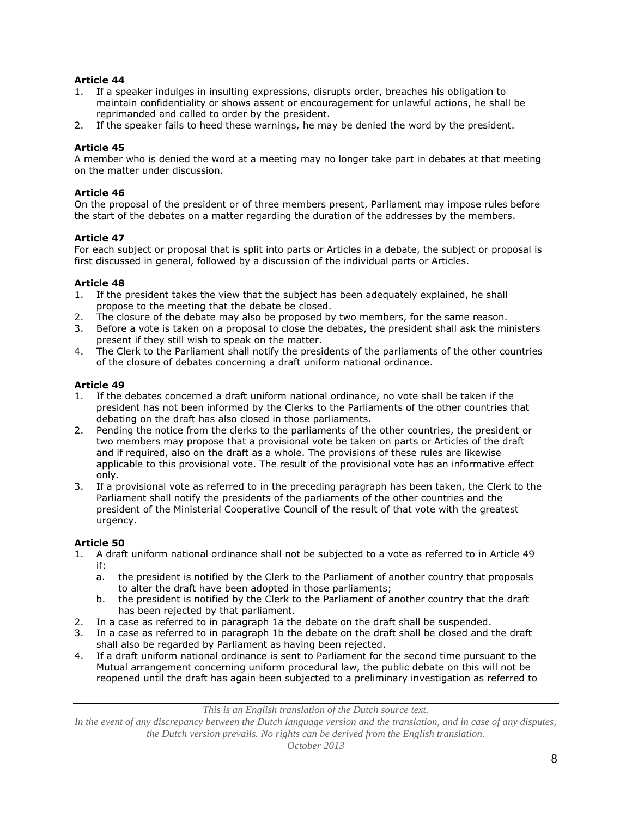- 1. If a speaker indulges in insulting expressions, disrupts order, breaches his obligation to maintain confidentiality or shows assent or encouragement for unlawful actions, he shall be reprimanded and called to order by the president.
- 2. If the speaker fails to heed these warnings, he may be denied the word by the president.

### **Article 45**

A member who is denied the word at a meeting may no longer take part in debates at that meeting on the matter under discussion.

### **Article 46**

On the proposal of the president or of three members present, Parliament may impose rules before the start of the debates on a matter regarding the duration of the addresses by the members.

### **Article 47**

For each subject or proposal that is split into parts or Articles in a debate, the subject or proposal is first discussed in general, followed by a discussion of the individual parts or Articles.

### **Article 48**

- 1. If the president takes the view that the subject has been adequately explained, he shall propose to the meeting that the debate be closed.
- 2. The closure of the debate may also be proposed by two members, for the same reason.
- 3. Before a vote is taken on a proposal to close the debates, the president shall ask the ministers present if they still wish to speak on the matter.
- 4. The Clerk to the Parliament shall notify the presidents of the parliaments of the other countries of the closure of debates concerning a draft uniform national ordinance.

### **Article 49**

- 1. If the debates concerned a draft uniform national ordinance, no vote shall be taken if the president has not been informed by the Clerks to the Parliaments of the other countries that debating on the draft has also closed in those parliaments.
- 2. Pending the notice from the clerks to the parliaments of the other countries, the president or two members may propose that a provisional vote be taken on parts or Articles of the draft and if required, also on the draft as a whole. The provisions of these rules are likewise applicable to this provisional vote. The result of the provisional vote has an informative effect only.
- 3. If a provisional vote as referred to in the preceding paragraph has been taken, the Clerk to the Parliament shall notify the presidents of the parliaments of the other countries and the president of the Ministerial Cooperative Council of the result of that vote with the greatest urgency.

### **Article 50**

- 1. A draft uniform national ordinance shall not be subjected to a vote as referred to in Article 49 if:
	- a. the president is notified by the Clerk to the Parliament of another country that proposals to alter the draft have been adopted in those parliaments;
	- b. the president is notified by the Clerk to the Parliament of another country that the draft has been rejected by that parliament.
- 2. In a case as referred to in paragraph 1a the debate on the draft shall be suspended.
- 3. In a case as referred to in paragraph 1b the debate on the draft shall be closed and the draft shall also be regarded by Parliament as having been rejected.
- 4. If a draft uniform national ordinance is sent to Parliament for the second time pursuant to the Mutual arrangement concerning uniform procedural law, the public debate on this will not be reopened until the draft has again been subjected to a preliminary investigation as referred to

*This is an English translation of the Dutch source text.*

*In the event of any discrepancy between the Dutch language version and the translation, and in case of any disputes, the Dutch version prevails. No rights can be derived from the English translation.*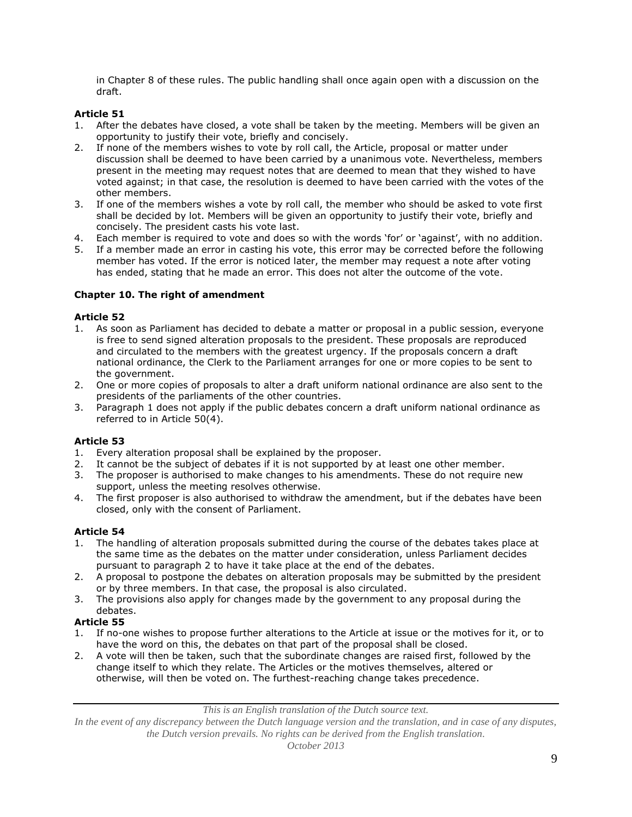in Chapter 8 of these rules. The public handling shall once again open with a discussion on the draft.

# **Article 51**

- 1. After the debates have closed, a vote shall be taken by the meeting. Members will be given an opportunity to justify their vote, briefly and concisely.
- 2. If none of the members wishes to vote by roll call, the Article, proposal or matter under discussion shall be deemed to have been carried by a unanimous vote. Nevertheless, members present in the meeting may request notes that are deemed to mean that they wished to have voted against; in that case, the resolution is deemed to have been carried with the votes of the other members.
- 3. If one of the members wishes a vote by roll call, the member who should be asked to vote first shall be decided by lot. Members will be given an opportunity to justify their vote, briefly and concisely. The president casts his vote last.
- 4. Each member is required to vote and does so with the words 'for' or 'against', with no addition.
- 5. If a member made an error in casting his vote, this error may be corrected before the following member has voted. If the error is noticed later, the member may request a note after voting has ended, stating that he made an error. This does not alter the outcome of the vote.

## **Chapter 10. The right of amendment**

### **Article 52**

- 1. As soon as Parliament has decided to debate a matter or proposal in a public session, everyone is free to send signed alteration proposals to the president. These proposals are reproduced and circulated to the members with the greatest urgency. If the proposals concern a draft national ordinance, the Clerk to the Parliament arranges for one or more copies to be sent to the government.
- 2. One or more copies of proposals to alter a draft uniform national ordinance are also sent to the presidents of the parliaments of the other countries.
- 3. Paragraph 1 does not apply if the public debates concern a draft uniform national ordinance as referred to in Article 50(4).

## **Article 53**

- 1. Every alteration proposal shall be explained by the proposer.
- 2. It cannot be the subject of debates if it is not supported by at least one other member.
- 3. The proposer is authorised to make changes to his amendments. These do not require new support, unless the meeting resolves otherwise.
- 4. The first proposer is also authorised to withdraw the amendment, but if the debates have been closed, only with the consent of Parliament.

### **Article 54**

- 1. The handling of alteration proposals submitted during the course of the debates takes place at the same time as the debates on the matter under consideration, unless Parliament decides pursuant to paragraph 2 to have it take place at the end of the debates.
- 2. A proposal to postpone the debates on alteration proposals may be submitted by the president or by three members. In that case, the proposal is also circulated.
- 3. The provisions also apply for changes made by the government to any proposal during the debates.

## **Article 55**

- 1. If no-one wishes to propose further alterations to the Article at issue or the motives for it, or to have the word on this, the debates on that part of the proposal shall be closed.
- 2. A vote will then be taken, such that the subordinate changes are raised first, followed by the change itself to which they relate. The Articles or the motives themselves, altered or otherwise, will then be voted on. The furthest-reaching change takes precedence.

*This is an English translation of the Dutch source text.*

*In the event of any discrepancy between the Dutch language version and the translation, and in case of any disputes, the Dutch version prevails. No rights can be derived from the English translation.*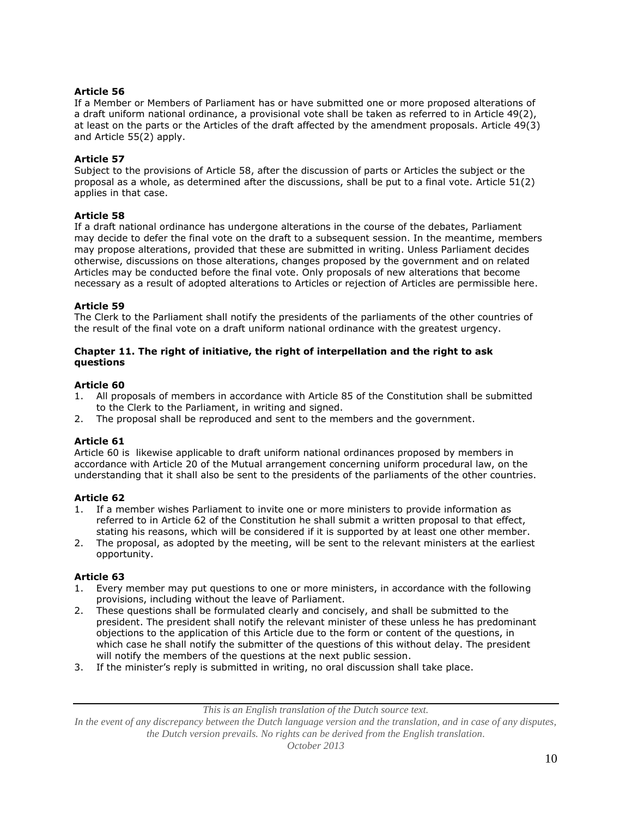If a Member or Members of Parliament has or have submitted one or more proposed alterations of a draft uniform national ordinance, a provisional vote shall be taken as referred to in Article 49(2), at least on the parts or the Articles of the draft affected by the amendment proposals. Article 49(3) and Article 55(2) apply.

### **Article 57**

Subject to the provisions of Article 58, after the discussion of parts or Articles the subject or the proposal as a whole, as determined after the discussions, shall be put to a final vote. Article 51(2) applies in that case.

### **Article 58**

If a draft national ordinance has undergone alterations in the course of the debates, Parliament may decide to defer the final vote on the draft to a subsequent session. In the meantime, members may propose alterations, provided that these are submitted in writing. Unless Parliament decides otherwise, discussions on those alterations, changes proposed by the government and on related Articles may be conducted before the final vote. Only proposals of new alterations that become necessary as a result of adopted alterations to Articles or rejection of Articles are permissible here.

### **Article 59**

The Clerk to the Parliament shall notify the presidents of the parliaments of the other countries of the result of the final vote on a draft uniform national ordinance with the greatest urgency.

### **Chapter 11. The right of initiative, the right of interpellation and the right to ask questions**

### **Article 60**

- 1. All proposals of members in accordance with Article 85 of the Constitution shall be submitted to the Clerk to the Parliament, in writing and signed.
- 2. The proposal shall be reproduced and sent to the members and the government.

### **Article 61**

Article 60 is likewise applicable to draft uniform national ordinances proposed by members in accordance with Article 20 of the Mutual arrangement concerning uniform procedural law, on the understanding that it shall also be sent to the presidents of the parliaments of the other countries.

### **Article 62**

- 1. If a member wishes Parliament to invite one or more ministers to provide information as referred to in Article 62 of the Constitution he shall submit a written proposal to that effect, stating his reasons, which will be considered if it is supported by at least one other member.
- 2. The proposal, as adopted by the meeting, will be sent to the relevant ministers at the earliest opportunity.

### **Article 63**

- 1. Every member may put questions to one or more ministers, in accordance with the following provisions, including without the leave of Parliament.
- 2. These questions shall be formulated clearly and concisely, and shall be submitted to the president. The president shall notify the relevant minister of these unless he has predominant objections to the application of this Article due to the form or content of the questions, in which case he shall notify the submitter of the questions of this without delay. The president will notify the members of the questions at the next public session.
- 3. If the minister's reply is submitted in writing, no oral discussion shall take place.

*In the event of any discrepancy between the Dutch language version and the translation, and in case of any disputes, the Dutch version prevails. No rights can be derived from the English translation.*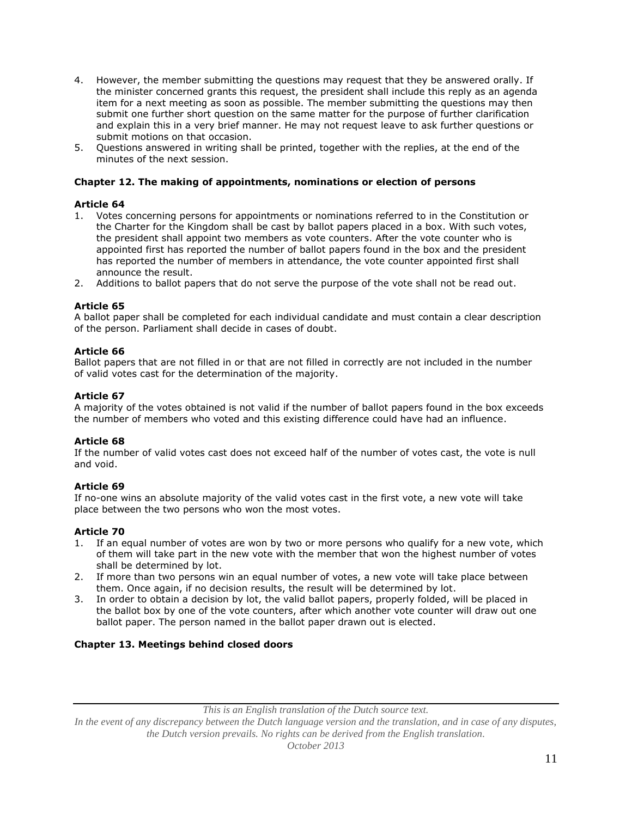- 4. However, the member submitting the questions may request that they be answered orally. If the minister concerned grants this request, the president shall include this reply as an agenda item for a next meeting as soon as possible. The member submitting the questions may then submit one further short question on the same matter for the purpose of further clarification and explain this in a very brief manner. He may not request leave to ask further questions or submit motions on that occasion.
- 5. Questions answered in writing shall be printed, together with the replies, at the end of the minutes of the next session.

### **Chapter 12. The making of appointments, nominations or election of persons**

### **Article 64**

- 1. Votes concerning persons for appointments or nominations referred to in the Constitution or the Charter for the Kingdom shall be cast by ballot papers placed in a box. With such votes, the president shall appoint two members as vote counters. After the vote counter who is appointed first has reported the number of ballot papers found in the box and the president has reported the number of members in attendance, the vote counter appointed first shall announce the result.
- 2. Additions to ballot papers that do not serve the purpose of the vote shall not be read out.

### **Article 65**

A ballot paper shall be completed for each individual candidate and must contain a clear description of the person. Parliament shall decide in cases of doubt.

### **Article 66**

Ballot papers that are not filled in or that are not filled in correctly are not included in the number of valid votes cast for the determination of the majority.

### **Article 67**

A majority of the votes obtained is not valid if the number of ballot papers found in the box exceeds the number of members who voted and this existing difference could have had an influence.

### **Article 68**

If the number of valid votes cast does not exceed half of the number of votes cast, the vote is null and void.

## **Article 69**

If no-one wins an absolute majority of the valid votes cast in the first vote, a new vote will take place between the two persons who won the most votes.

### **Article 70**

- 1. If an equal number of votes are won by two or more persons who qualify for a new vote, which of them will take part in the new vote with the member that won the highest number of votes shall be determined by lot.
- 2. If more than two persons win an equal number of votes, a new vote will take place between them. Once again, if no decision results, the result will be determined by lot.
- 3. In order to obtain a decision by lot, the valid ballot papers, properly folded, will be placed in the ballot box by one of the vote counters, after which another vote counter will draw out one ballot paper. The person named in the ballot paper drawn out is elected.

## **Chapter 13. Meetings behind closed doors**

*This is an English translation of the Dutch source text.*

*In the event of any discrepancy between the Dutch language version and the translation, and in case of any disputes, the Dutch version prevails. No rights can be derived from the English translation.*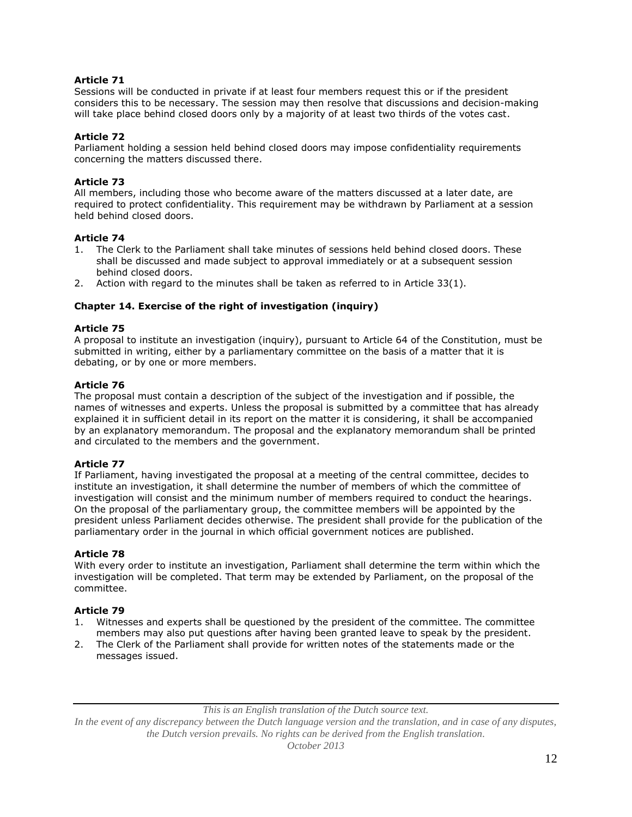Sessions will be conducted in private if at least four members request this or if the president considers this to be necessary. The session may then resolve that discussions and decision-making will take place behind closed doors only by a majority of at least two thirds of the votes cast.

## **Article 72**

Parliament holding a session held behind closed doors may impose confidentiality requirements concerning the matters discussed there.

## **Article 73**

All members, including those who become aware of the matters discussed at a later date, are required to protect confidentiality. This requirement may be withdrawn by Parliament at a session held behind closed doors.

## **Article 74**

- 1. The Clerk to the Parliament shall take minutes of sessions held behind closed doors. These shall be discussed and made subject to approval immediately or at a subsequent session behind closed doors.
- 2. Action with regard to the minutes shall be taken as referred to in Article 33(1).

### **Chapter 14. Exercise of the right of investigation (inquiry)**

### **Article 75**

A proposal to institute an investigation (inquiry), pursuant to Article 64 of the Constitution, must be submitted in writing, either by a parliamentary committee on the basis of a matter that it is debating, or by one or more members.

## **Article 76**

The proposal must contain a description of the subject of the investigation and if possible, the names of witnesses and experts. Unless the proposal is submitted by a committee that has already explained it in sufficient detail in its report on the matter it is considering, it shall be accompanied by an explanatory memorandum. The proposal and the explanatory memorandum shall be printed and circulated to the members and the government.

### **Article 77**

If Parliament, having investigated the proposal at a meeting of the central committee, decides to institute an investigation, it shall determine the number of members of which the committee of investigation will consist and the minimum number of members required to conduct the hearings. On the proposal of the parliamentary group, the committee members will be appointed by the president unless Parliament decides otherwise. The president shall provide for the publication of the parliamentary order in the journal in which official government notices are published.

## **Article 78**

With every order to institute an investigation, Parliament shall determine the term within which the investigation will be completed. That term may be extended by Parliament, on the proposal of the committee.

## **Article 79**

- 1. Witnesses and experts shall be questioned by the president of the committee. The committee members may also put questions after having been granted leave to speak by the president.
- 2. The Clerk of the Parliament shall provide for written notes of the statements made or the messages issued.

*This is an English translation of the Dutch source text.*

*In the event of any discrepancy between the Dutch language version and the translation, and in case of any disputes, the Dutch version prevails. No rights can be derived from the English translation.*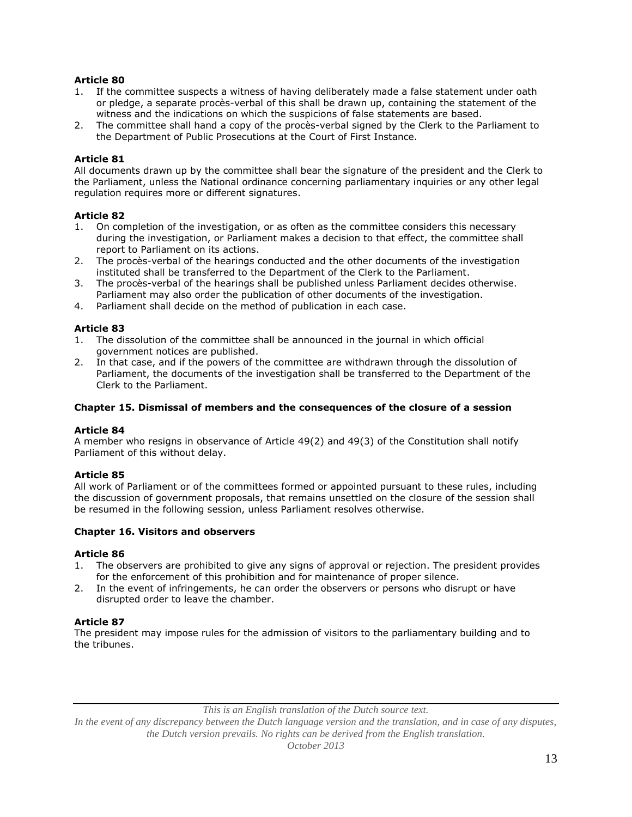- 1. If the committee suspects a witness of having deliberately made a false statement under oath or pledge, a separate procès-verbal of this shall be drawn up, containing the statement of the witness and the indications on which the suspicions of false statements are based.
- 2. The committee shall hand a copy of the procès-verbal signed by the Clerk to the Parliament to the Department of Public Prosecutions at the Court of First Instance.

### **Article 81**

All documents drawn up by the committee shall bear the signature of the president and the Clerk to the Parliament, unless the National ordinance concerning parliamentary inquiries or any other legal regulation requires more or different signatures.

### **Article 82**

- 1. On completion of the investigation, or as often as the committee considers this necessary during the investigation, or Parliament makes a decision to that effect, the committee shall report to Parliament on its actions.
- 2. The procès-verbal of the hearings conducted and the other documents of the investigation instituted shall be transferred to the Department of the Clerk to the Parliament.
- 3. The procès-verbal of the hearings shall be published unless Parliament decides otherwise. Parliament may also order the publication of other documents of the investigation.
- 4. Parliament shall decide on the method of publication in each case.

### **Article 83**

- 1. The dissolution of the committee shall be announced in the journal in which official government notices are published.
- 2. In that case, and if the powers of the committee are withdrawn through the dissolution of Parliament, the documents of the investigation shall be transferred to the Department of the Clerk to the Parliament.

#### **Chapter 15. Dismissal of members and the consequences of the closure of a session**

#### **Article 84**

A member who resigns in observance of Article 49(2) and 49(3) of the Constitution shall notify Parliament of this without delay.

### **Article 85**

All work of Parliament or of the committees formed or appointed pursuant to these rules, including the discussion of government proposals, that remains unsettled on the closure of the session shall be resumed in the following session, unless Parliament resolves otherwise.

#### **Chapter 16. Visitors and observers**

### **Article 86**

- 1. The observers are prohibited to give any signs of approval or rejection. The president provides for the enforcement of this prohibition and for maintenance of proper silence.
- 2. In the event of infringements, he can order the observers or persons who disrupt or have disrupted order to leave the chamber.

### **Article 87**

The president may impose rules for the admission of visitors to the parliamentary building and to the tribunes.

*This is an English translation of the Dutch source text.*

*In the event of any discrepancy between the Dutch language version and the translation, and in case of any disputes, the Dutch version prevails. No rights can be derived from the English translation.*